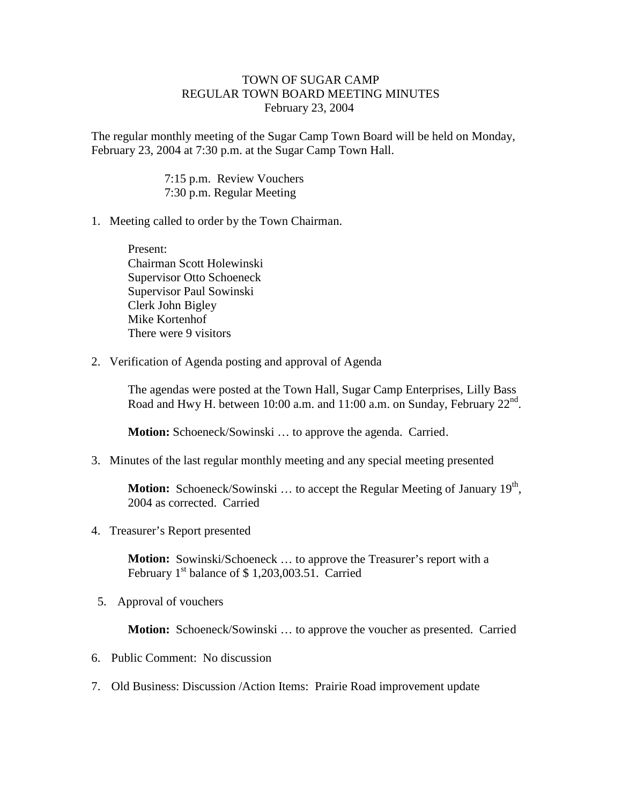## TOWN OF SUGAR CAMP REGULAR TOWN BOARD MEETING MINUTES February 23, 2004

The regular monthly meeting of the Sugar Camp Town Board will be held on Monday, February 23, 2004 at 7:30 p.m. at the Sugar Camp Town Hall.

> 7:15 p.m. Review Vouchers 7:30 p.m. Regular Meeting

1. Meeting called to order by the Town Chairman.

Present: Chairman Scott Holewinski Supervisor Otto Schoeneck Supervisor Paul Sowinski Clerk John Bigley Mike Kortenhof There were 9 visitors

2. Verification of Agenda posting and approval of Agenda

The agendas were posted at the Town Hall, Sugar Camp Enterprises, Lilly Bass Road and Hwy H. between 10:00 a.m. and 11:00 a.m. on Sunday, February 22<sup>nd</sup>.

**Motion:** Schoeneck/Sowinski ... to approve the agenda. Carried.

3. Minutes of the last regular monthly meeting and any special meeting presented

**Motion:** Schoeneck/Sowinski ... to accept the Regular Meeting of January 19<sup>th</sup>, 2004 as corrected. Carried

4. Treasurer's Report presented

**Motion:** Sowinski/Schoeneck ... to approve the Treasurer's report with a February  $1<sup>st</sup>$  balance of \$ 1,203,003.51. Carried

5. Approval of vouchers

**Motion:** Schoeneck/Sowinski ... to approve the voucher as presented. Carried

- 6. Public Comment: No discussion
- 7. Old Business: Discussion /Action Items: Prairie Road improvement update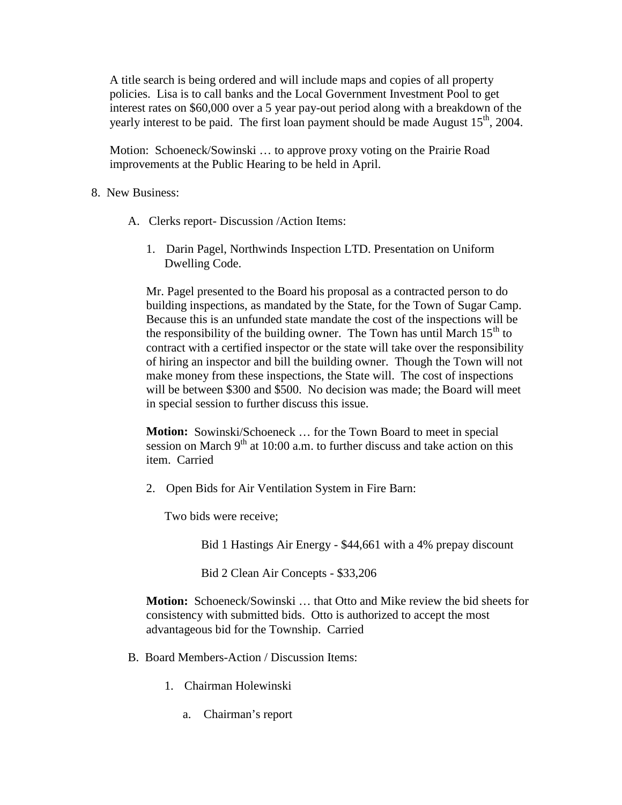A title search is being ordered and will include maps and copies of all property policies. Lisa is to call banks and the Local Government Investment Pool to get interest rates on \$60,000 over a 5 year pay-out period along with a breakdown of the yearly interest to be paid. The first loan payment should be made August  $15<sup>th</sup>$ , 2004.

Motion: Schoeneck/Sowinski … to approve proxy voting on the Prairie Road improvements at the Public Hearing to be held in April.

## 8. New Business:

- A. Clerks report- Discussion /Action Items:
	- 1. Darin Pagel, Northwinds Inspection LTD. Presentation on Uniform Dwelling Code.

Mr. Pagel presented to the Board his proposal as a contracted person to do building inspections, as mandated by the State, for the Town of Sugar Camp. Because this is an unfunded state mandate the cost of the inspections will be the responsibility of the building owner. The Town has until March  $15<sup>th</sup>$  to contract with a certified inspector or the state will take over the responsibility of hiring an inspector and bill the building owner. Though the Town will not make money from these inspections, the State will. The cost of inspections will be between \$300 and \$500. No decision was made; the Board will meet in special session to further discuss this issue.

**Motion:** Sowinski/Schoeneck … for the Town Board to meet in special session on March  $9<sup>th</sup>$  at 10:00 a.m. to further discuss and take action on this item. Carried

2. Open Bids for Air Ventilation System in Fire Barn:

Two bids were receive;

Bid 1 Hastings Air Energy - \$44,661 with a 4% prepay discount

Bid 2 Clean Air Concepts - \$33,206

**Motion:** Schoeneck/Sowinski … that Otto and Mike review the bid sheets for consistency with submitted bids. Otto is authorized to accept the most advantageous bid for the Township. Carried

- B. Board Members-Action / Discussion Items:
	- 1. Chairman Holewinski
		- a. Chairman's report